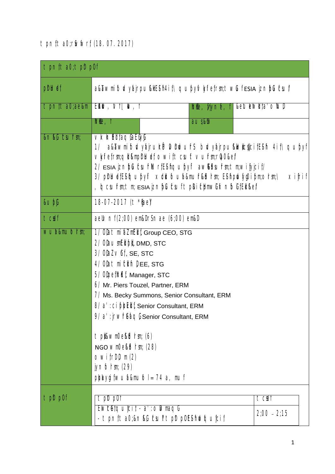# tpnfta0;rSwfwrf (18.07.2017)

| $\pm$ pn( $\tan 2$ ); $\tan 2$ pn( $\tan 2$ |                                                                                                                                                                                                                                                                                                                                                                                                                                                                 |                                        |                        |                              |  |  |
|---------------------------------------------|-----------------------------------------------------------------------------------------------------------------------------------------------------------------------------------------------------------------------------------------------------------------------------------------------------------------------------------------------------------------------------------------------------------------------------------------------------------------|----------------------------------------|------------------------|------------------------------|--|--|
| phluet                                      | a&āwmi foly yajrpu&lEsi h4i t\qupylvkyli etrm; twlufesia jznipluksul/                                                                                                                                                                                                                                                                                                                                                                                           |                                        |                        |                              |  |  |
| tpnita0;ae&m                                | EMW, NHW, I                                                                                                                                                                                                                                                                                                                                                                                                                                                     |                                        | <b>Irile, viyne, f</b> | &elulelwill ta' ollull       |  |  |
|                                             | $\mathbb{M}$ e, f                                                                                                                                                                                                                                                                                                                                                                                                                                               |                                        | aus&h                  |                              |  |  |
| &n&C csurm;                                 | VxhEiltaqCaECyl<br>a&awmifolydairuhPMhwuhs blydairpu&kwlcdicifEsh 4if<br>1/<br>VMietrm;qll&mplrlUet owittcsuftvurm;ra0⪙<br>2/ ESIA jznipluitsuirilluritesiinguipyli awkitsuirin; tin; wii jyjciit/<br>3/ piriluetEs iqupyii xidilioua&muir&ibirm Es ii pilviyg0i pm;orm;\<br>xifrif<br>, Iqcsuirm; tm; esia izniplucsui tplki chmwlix nioli iEli kel                                                                                                            |                                        |                        |                              |  |  |
| $\&$ upf                                    | 18-07-2017 (t * [ae]                                                                                                                                                                                                                                                                                                                                                                                                                                            |                                        |                        |                              |  |  |
| tcoef                                       | aell nf (2;00) em&l r \$ nae (6;00) em&l                                                                                                                                                                                                                                                                                                                                                                                                                        |                                        |                        |                              |  |  |
| wua&mulorm                                  | 1/ Olatmi aZmEll ; Group CEO, STG<br>2/ OlaumElipl, DMD, STC<br>$3/$ OlaZ $\vee$ ft, se, stc<br>4/ Olatmiclin) EE, STG<br>5/ OlpetIrli f, Manager, STC<br>6/ Mr. Piers Touzel, Partner, ERM<br>7/ Ms. Becky Summons, Senior Consultant, ERM<br>8/ a' : ci ppEll , Senior Consultant, ERM<br>9/ a' : jrwfreacl Senior Consultant, ERM<br>t pli&wm0e&brm (6)<br>NGO WMOekbrm; (28)<br>$OWifrD \in (2)$<br>$j$ ynfolm; $(29)$<br>$p$ baygi (wuaμ $ o $ = 74 a, muf |                                        |                        |                              |  |  |
| t pDt pOf                                   | t pDt pOf<br>Ewcelquicit - a' : olwmaqli                                                                                                                                                                                                                                                                                                                                                                                                                        | - tpnfta0;&n&G tsultpltp0ESiriwiquicif |                        | <b>TC®I</b><br>$2;00 - 2;15$ |  |  |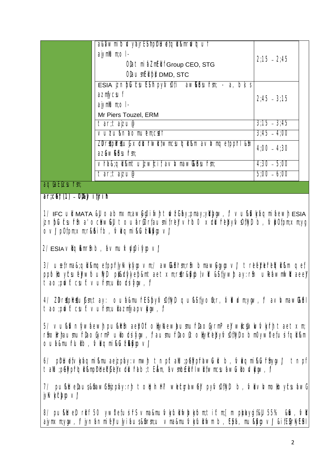|                 | a&awmitb&yajrE\$hphUe{qlkmrlwquf                                                                                    |               |  |
|-----------------|---------------------------------------------------------------------------------------------------------------------|---------------|--|
|                 | ajymMum; ol -                                                                                                       | $2:15 - 2:45$ |  |
|                 | Olatmi aZmEll f Group CEO, STG                                                                                      |               |  |
|                 | OlaumEl bl DMD, STC                                                                                                 |               |  |
|                 | $ESIA$ $ Z \cap DCLSUES1$ $DYNOL1$ $aWRESU1r$ ; - a, b); s                                                          |               |  |
|                 | azmycsuf                                                                                                            | $2:45 - 3:15$ |  |
|                 |                                                                                                                     |               |  |
|                 | Mr Piers Touzel, ERM                                                                                                |               |  |
|                 | $tan; ta$ izu@                                                                                                      | $3:15 - 3:45$ |  |
|                 | vuzu&naomuemcoef                                                                                                    | $3:45 - 4:00$ |  |
|                 | $ZD \cap \text{K}D \cap \text{K} \cup \text{K} \times \text{CL} \cap \text{W}$ (wmcsulol &m a $\lor$ Mmore (ppr) &m | $4:00 - 4:30$ |  |
|                 | azawktsurm;                                                                                                         |               |  |
|                 | Vra&;ql &mt u zwicit avivmaw&tsufm                                                                                  | $4:30 - 5:00$ |  |
|                 | tar;tajzu@                                                                                                          | $b(00 - 6)00$ |  |
| aqlia Llicsumm; |                                                                                                                     |               |  |

**ar;cGef; (1) OD;&Jvif;jrifh**

1/  $\overline{IC}$  ult MATA &U oabm $\times$ m;aww0i whittw $\overline{Z}$ Gifay;pmay;yidkwy,  $\ell$  vu $\&$ Waqmifaewt ESIA jznbCufxuffin a'ochwCJU toufarGorfausmifreJVrlbo xdLufrebytvsOftWD b, tvbOfpm;xm;yq  $\text{OV}$ / potom; $\times$ m;rKk $i$ if b, Maami $\text{R}$ Lu $\text{R}$ kvo $\text{V}$ 

 $2/$  ESIA  $\vee$ liqi $\&$ mr $\&$  b, fa $\vee$ mu $\times$ ty $\&$ ifygo $\vee$ l

3/ usefrma&;qlikmqefppfrlykvkyyovm;/ awktrirm;rtin bmawGyyqovl triefeldefriefqlikam qef; ppfolloyfcsufelywfouilyl pli&drylyefp&mtaetxm;rstr&lyqblvll &SifjywJtay:rfn uRefawmiwlltaeel tao; pdwft csuft vufrm; ullotsi New, f

4/ ZDrttphttufm;tay: oufa&mufrESitoyivsOflivity qui&Sifiyofi;r, Mbkm;ygw, favhvmawG&fl tao;ptwftcsuftvufrm;ullazmyapvlygw, f

 $5/$  vu& $\mathcal U$ níyw $\alpha$ ewli pu $\mathcal R$ lifin ae $\beta$ Oftolijykaew. Humufr $\alpha$ oGyrmPeJ w $\beta$ csJ $\times$ kwí $\gamma$ krhi taet $\times$ m; rfiohrhaumurhaoGyrmPullotsifygw, faumurhaoGtohykrebytvofikylobm0yw0efusif qli &m  $O$ ufa&muflull $O$ , Maqmi $R$ ufz $R$ ivov $J$ 

6/ philuety waqmi kmuaeizpay: vmwh tnpftallu; pewpfrawCull b, Maqmi kCufrii ynvl tnpf tallu;pGkypfrIqili&mplriteChifelix ddLufrIab;tEkkm,favsmid:Elijifil wili fwmcsufawCullowkyaw,f/

7/ pußlitelaus&hawGhizpfay:rli tolginiti wefcqrawell pyfv:0tlivi b, Mavivmolloy/csufawG jyKvkyfckyqov/

8/ pußktet rilf 50 yw0efusiff vma&mufvkyfulifwlwkyfom;tiftm;[m pbayqif&JJ 55% &dv, fvill ajymxm;ygw, f jynfanmifel ulyifaus&firm;u vma&mufvkyfullifwm b, Epfa, muf&lygovl &if;EljrKyElirI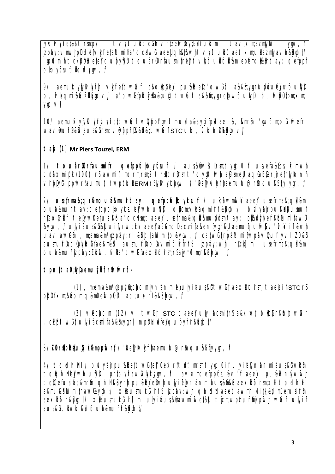jyllolvkyli et&itt rm;plu tvkylt ulitt clift vrtzelwlay;Eli Irlullom tav;xm;azmfyllu  $V_1W, V_2$ izpay: vmwhpiriue(vivii etailumi ha' ochwit aeell ali&i&wht vivit uil ft aet xm; uil azmyavir&i/qbt/ rallumint to under the unit of the tousing of the tour of the tour of the tour of the tour of the tour of the t olloyisulullolviyiw, l

9/ aemutxytykykytni vkyliettwürf a&olipitell pui&ittela'owiit a&∈yq:rlupiawelywfouliyli b, Magni Buzkivovi a' owitpluyta&;u@twut a&&fi;yi;relywoutyi b, Mb0tpn;xn; **VIOV** 

10/ aemukyjykykinkyii ettwui vyppi' witm; ull a&ayqi tpluae &, kmrh "witm; of wetrl wavhurh&Whus&hrm; vWpprl&&h&;twListcub, MunkkWov/

#### t aiz (1) Mr Piers Touzel, ERM

1/ touarCortaumitrl getppfolloytsuf / aus&frv&ultm;tyqt0if usyeta&Gcs, txm;wh ttaxmipk (100) rs awmit, morm;rm;? trtorirm;t "uyoliwitzirm;ell aqtaEtar;jretrlyloni vrbiyin; ppivrtaumui, hwpcluiler MrSjykvkyckyw, i belykvkyhaemuiu@rinqukstjyvyn, i

2/ usetma&; all kmoub&muht ay: aetppfolloytsuf / ulebwmiwlt aeel usetma&; all km outa&murltay: getppfolloytsulelywoutlyl ollicm; vlyfagmi frh&lyabt/ **bl**ydirpullebumuf rhaofrlif telywoefusiklia' oclfm; taeel usefrma&; qlikmupirm; tay: pl&rfylyefrkhlumifawl &vow, pulviaus&fi&luvifyrtwptcktaeelaE&molacmifa&enfyrr&laemukyuw&v'Mkif&wh uav;awfn , m;ema&m\*qzpay:rl &bblallumito&yqw, l csitwitirpallumitwpavmut yvl Z0&t aumurbaofowlui tae&m&i aumurbaofavmi turfrhs izoav wh rbcll m usetrma&cll &m Outa&murizpay: Elity, Mia' Owlitaexii tolrm;rSajymlum;r&tbyav, Y

tpntta0;MaemuMitrSwWrt-

(1), m;em;a&m\*gzpfyft;chom jynhnmi e'ulyihus&ft wif aexliform; taezifstcrS  $p$  $p$ Of $\times$ m;& $b$ om q&mOe $wp$ O $\setminus$  aq;ulorl && $b$ ky $w$ ,  $V$ 

(2)  $\vee$  ethom (12)  $\vee$  twit stc taee" ujyi acmits a& $\times$ kwi, buothawit wulf , cEpit wif ulyi acmita&&h;yqrl[mphuetelqupytrk&ypot/

3/ ZDrtphtubli&mppivrt / 'belyk/k/rhaemulu@rh qu&ityyr, /

4/ tolginid / bivyajrpu&Dettwitel Oelxrttid, mrm;tyqtOif ujyielynanmiaus&invin tolginirlelywoullyl prioyrawww.lythyw. / avivingetpptsukv taeel pukilvniywiwi tel0etusi ae&mrti qinirkhyrit puklerelwit ulyi elynanmi aus&fi&i aexil form;xil tolqiniri a&mu&blumitraw&vibt/ xlaumut Irls izpay:wh anbltaeeluawmh 4it{&d m0etusiffin aexii foir&Mbt/ xilaumutti | rl m ulyi hus&hawmi wet&ll ticm;wpturhizpwitt will ulyi f aus&fiullwLkLioua&murr&ybl/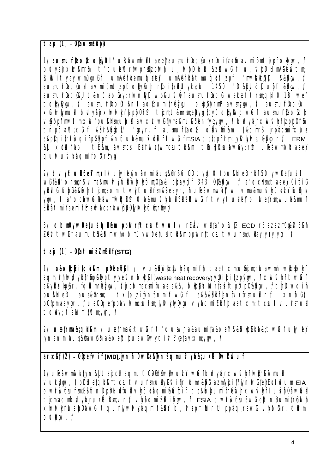taiz (1) - Olaum**ei pi** 

1/ aumurlaoft oliylrl / uleawmiwl taeel aumurlaoful rloitzhin avmi pmtjzpi olygw, l bdvyajrxw&mr\$ t "duulellurfwpfr#jzpfwl u, Mpl lull &zlltwluf u, Mpl lumAGewtm; Bullwift vay; wm0pwlif umAerhemutaller umAerliatmutallt izpf "mw**izici**yi) &&QWW. V aumurlaofull avmipmtizpitoliykvi rioitzklltycelu 1450 'Lu&bMql upi &yw, f aumurlaoisul t&nitaoiay:rwniwl wp&uMui aumurlaoi websei trm;qli 0.18 wei tollykyw, l aumurlaoft&nftaofaumifrekyu ollphyrmPavmlyw, l aumurlaofu XLIWWTUL blvyairxkwvkyrizpp0rn tjcm;t&mrm;ebyqitpyftoliykwitwLi aumurlaofoli VS/ppf"mwftm;xkvfpu&ltm;ubliavxltwffjyma&mu&ltenfyi;ynv, "fblvyajrxkvfvkylrlzpp0lrsh" tnptall;xluf &th&wbl/ 'wayr, h aumurbaol obviikm {&d mrS irpacmitxlull a&pligifrlfwgifip&lypft&nloub&mulxtLlulritwlufESIA getpplrirm; jylkykyku&lyjonl/ERM &U xidiLirab; těkim, avmics Elitinvilitymcsufolikm tiuliyicsuavay:rin uleavmivilitaeel quívuívkhami fofir fiy

2/ tvWtulicekm;rl/ ulyielynanmiaus&nrs6 Ol tyt0ifpu&ltel rllf50 yw0efusift wit&h'orm;r\$vma&muvwuliwwwtom;0da&pbayqit 343 0d&ww, ta'oclfm;taeel OifaiG virily i fuldfings tubling to the serve of the studies of the studies of the studies of the studies of the studies yw, l a ochwuleawniwh i oi asmulywul Elizit wu t vivit ulle oi wei mwuasnui Elliatmifaemiffi zwac:rawbb0fyk/wofirfiyw

3/ obm0vw0etusitalikm pptwrftcsuftvuf / rEhv:wlita'olum ECD rS azazm0u&lvESh ZEN twi f aumuck&km;whobm0 yw0efusifolkm ppfwrft csuft vufm;ullay;yhy;yqr, f

 $t$  aiz (1) - O $\theta$ a  $t$ mi aZmE $\theta$ i (STG)

1/ a&ollpfcifqli&m plrkekhl / vu&blwlcdvlyaqmih taetxm;ufnjcm;rluawmh wlcdvlyf aqmi iri kvd yil trinpellypit ylyeiv niolipiri (waste heat recovery) yi0i ici tizpiyiw, i xkwvkyirit wiLi a&yttblp&r, fqlvmr&ytw, fjrpfomacmifuae a&&, blpkttlurfzsiftpttp0&ytw, ftlluwqih t xloizi Mnanmi ft wul a&&&Elifrentvrtrm;ulvnt aus&firm; pukt et  $\times$ nblit p0fpm;aeyqw, l ue0lqefppavMmcsufm; jyMykyllyqu vkyaqmiElifrhtaetxm; tcsuftvufm;ull toay; tallumitlum;ydr, f

2/ usetma&; qll &m / usetma&; twut t"uuwh a&aumita&oel &&blipElib&; twut ulyitel jynanmi aus&nawrfi a&oepi puawfwygi Mf yefay; xm; yw, f

ar;cet (2) - Obpetvit (MD), jynin0wla&jyniagmuMya&;uldPlvhtwuf

1/ uleawmiwli fiyni&ll taicclitagmuit Oblibliwliwublit wiuf bivyairxkwvkiriwlirs iwmuli Vuclyav, I priuteton kmt csuft vurm; unvi in tiri formaba azmyjci f? jyniwi fe'l Eli i kvum EIA OWFWGSUFTIES IT DIDIFILLE UI VWUI AOTTI BLICI f to BIWAUTI I FEWI XWVWFI USI DOAWUI ticm;aombdvyairuriPirm;vnf vivagmi zbi lyiw, l ESIA owrswcsuawG ellt naumi frewl XWVWHUSIb0awG tquriywVWaqmirkEll b, VbpmiNunil ppaqrawG VWOfir, Glivm  $OWWW, V$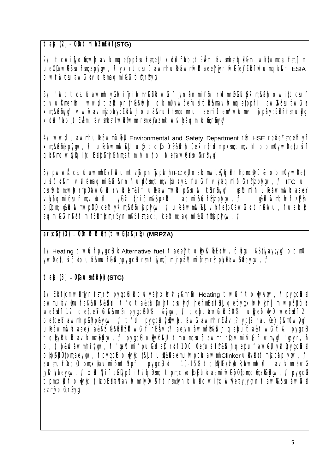### $\tau$  aiz (2) - Ola $\tau$ mi azm $E$ i (stg)

2/ tckvifyofi;wh avk/mgefpptsufm;ell xtlufab;tEkm, avmtsrlglikm wlifwmcsufm;[m ueOlaw&tsufm;jzpfyw, / yxrtcsufuawmh uleawmfwltaeel' jynfwlite' Ellifi Wumqli &m ESIA owrwcsuawulvlemagmi kulon:rhyv

3/ ' kvd tcsuluavvmh yülivi firi fomrkkelt wluf jynanmi från rilumrleli hybixm; &th owift csuf wwd tzutpnir&&wh obm0yw0efusifall&mavMmgefppfrl awk&tsufawull tvuKmerfi xm;&ft\$nyq/vwwavmizpay:Elliwhoua&murrm;omruaemiftem\*wiumvizpay:Ellifrhm;ullyq xtlfab; t Ekm, avmcsrl will fwmrhm;elazmxkwvkhaqmi fofi; rfnyy

4/ wwd uawmh uleawmiwkul Environmental and Safety Department rin HSE reae\*mcelt yf xm:&thizplvtw, l uleawmwku u@tololrh&wh 0ekrirtom:plrm:tm:vl obm0vw0efusif all & mowivig i fci Ell prins matmi Mni oi wetawwkofi: rfivy

5/ pww.it csuiuawmi Eli fi liwumt zijt pnijzpiwi IFC eli oabmwckyjgirni pmckytt & obm0yw0ef usifall &m vluemaami &u&rnh ubimitmvlutyuruluf vlvaamifomizofuw, l iFC u crfwxm;wMrfp0awiull rvluem&if uleawmwll plasutwickrinyl' 'gallumin' uleawmwlltaeel yû iv i tjr i tom&&pzi VWaqmitsuftm:Vlul aqmi & Curbizpiyov, *V* ' g&llJwmblwft zirfn Olicm, q&lLuivmwpDl celltyixm;&lrin jzpiygw, l uleawmiwlkll vyii etpOawCull treawu, i usi loll agmi & CurkhtmifEli i |cm;rSynm&frm;ac:, celxm; agmi & Curhizplynv, l

### $ar:$ cet  $(3)$  -  $0$ ininiket  $(t \text{ with } a \& r)$  (MRPZA)

1/ Heating twul pytclul Alternative fuel taeel tolly WELL M, lolly as they obmo ywDefusifuloua&murkMvhpyq;cft rsm;tjym;[mjrpallumifrsm;rfnpkylraw&heygw, f

 $\tau$  aiz (3) - Olaum Elipt (STC)

1/ Ellitem; wilitynfrm; rin pyq; cilul bwyair xwww.kanfn Heating twulf toliykyw, if pyq; cilul awmuavmuf a&&h&&klu t "uta&,jujwht csulyy' jrefmElifiku qebyj;xkwvkjrl[m wpEpfuli webdef 12 oetcetx Culkum film pyric 20% & Byrw, p qebuaw Cull 50% ulyetolliyih webdef 2<br>oetcelCawmlin pelyplayrw, p t "cull pyriplicly time", taw Cawmlin FE biv; Pybl; raculiel {& mOwlyy uleawmiwitaeel a&&fn&&Eil tht wulf rEav; aejynawmirin&Mul qepufta&twulft & pyqcli tohyklul avhmzkygw, i pygcitohykki tmomcsuluawmh riavmily f wmyg 'gayr, h o, f, p&dvavmhrityty, f 'qallumit pukitet rilf 100 0et usi rh&lvi qebuf aw&ll ykvibyq;cluit Ollockbotpm;aeviiv, V pyt;clt ollylicit&ll tutk&taemutwpcluawmhclinker ullyltll tm;jzpap yiw, V aumurlaottpm;xlavmipmtlepf 10-15%toWWEUZULeawmMU  $DVQ$   $CHU$ a∨MmrhwG jyk/k/aeynv, l xltlyif pelypftirsifolim; tpm;xlolphul aemiwip0tpm;ofn;zlklynv, l pyq;cl tpm;xli toliylcif lizpEli alcavivmrlylvsif trm;lynfoluli owifxwliyeay;yirni/awl&buawuli azmyofirfnyv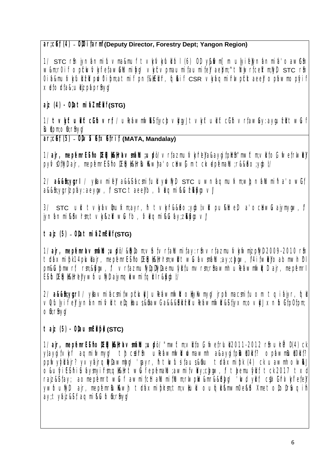### **ar:cef** (4) - OlOifarmi (Deputy Director, Forestry Dept: Yangon Region)

1/  $STC$  rm ivnfanmifuvma&muf tvknvknulliol (6) OD v&dvm [m ulvifelynfanmifa'oawGring] w&m;r0if opthwvkylietaw&Mumityy vkytvpmaumitaumitel aepm;^tMrwrfcetkm;NyD stc rfn 0ifa&mufvkyfuldtell pdwDifom;atmif pnf&HEllfr, fodkif CSR vkhaqmifrIwpfcktaeel opfawmopfyif  $\times$ ef $\circ$ rfa&;ulizpfaprfny $\psi$ 

 $aiz$  (4)  $Oba$   $t$   $mi$   $bZ$  $mE$  $i$  $(s$  $TG)$ 

1/ tvkftullitcliftvrf; / uRefawmiwkSifiyclovkwyJ tvkftullitcliftvrfaw&y:ayquizlltwLiftscom  $B\cup B\subset\mathbb{R}$ ; rhyq/

ar:cet (5) - OD **Exet Exet Fif** (MATA, Mandalay)

1/ ajr, mepfemr**ESi hoDE&Hk&Alravmfallu;udp**ö/vrfazmufvkyfrlella&aygif;plirini"mwftm;vilif;oG,fwef;rIwlell pyfvsOffWD; air, mepfemrESifioDElicht&ItribuHkwJha'ochtwGm tckepfemallu;r&&ho;ygbl/

2/ a&&fi;yq;rl / yllavmitell a&&Sifacmitull ylwlwd stc uwnfaqmufxm;wlighallumifi a'owGit a&&fi; yu; rIzpfay: aeyuw,  $\#$  stc taee D, Mhami & Lutkiyov/

 $3/$  STC ull tvlavlmuxmayr, itvlata&bo;yablvl pulated a'ochavluajymyaw,  $\ell$ jynanmi $@V$ rm;t $\vee$ ky $@Z$ ltw $@$ i b,  $@V$ aqmi $@Q$ ufay;z $@V$ 

taiz (5) - Olatmi aZmEl**i** *(STG)* 

1/ ajr, mepfemravsmfallu;upbi/ &dvilom;v\$nfvrfallumifay:rfn vrfazmufvkyfwmjzpflyll 2009-2010 rfn ttáxmi pk 14pkullair, mepfemrEsifioDElghkHrhm;wll twiWavmfallu;ay;clygw, f4ifwleYoabmwlnDrI pm&Cupmwrf rm;&Gyw,f vrfazmuflyDDNyDaemulyltfumvrsm;rShawmh uPeawmiwltoplair,mepfemrl ES FoDED; H&Hrey ywfoufWD ajymqlawmif qiltir r&Mubli

2/ a&&fi;yq;rl / yllavmifacmifwpfclullyJ uRefawmfwlltoHjyKwmyg/ jrpfomacsmifuom tqifajyr, fqll  $\vee$ Qifulyif e'liynfanmi $\wedge$ li telghaus;&GmawG a&&&Elitzi uRefawmfwlikSifiyxm;o $\vee$ liyl xnfoGif;pOf;pm; official component of the power of the component of the component of the control of the control of the control of the control of the control of the control of the control of the control of the control of the control of the

 $\tau$ ajz  $(5)$  -  $\theta$ laum**Edible** (STC)

1/ ajr, mepfemr**ESi**fol:Elak&Ithavmfallu;upbi/ "mwftm;vlitoG iwefrluli 2011-2012 rfn ulriPD (4) ck  $y$ daygif $\vee$ Mi aqmifwmyg/ thtc $\mathbf{z}$  the substantial phase optawn a&aygif;phut(0tif;? optawmBut(0tif;? ppfwyfylli ajr? yvyajrqillyllawmlyg/ 'gayr, h tkwfusifaus;&Gu traxmifpk (4) ck uawmh olwlled  $O$ &ufyi $E$ Sifi iSufaysmyifrsm;qtk&thtwLuf epfemallu;awmif $\vee$ by;clyqw,f/ themufylifitick 2017 txd rajz&Sifay; aomepemrItwCuf awmifchtaMumifMum;rIwpWv&mr&&blyg/ 'kwd yllif csJxGifrIvkyfiefel' ywfoutlyd ajr, mepfemrBuKkwh ttaxmipkm;tm;v|lull oufqle Kimwm0el&d XmetoDoDrSwqifi ay; tyfajz&Sif; aqmiklufofn; rfnyg/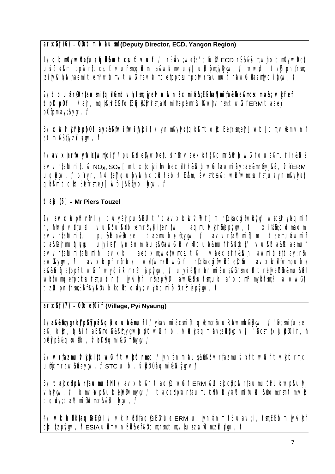### ar; cet (6) - Olatmi blaum (Deputy Director, ECD, Yangon Region)

1/ obm0yw0efusifali&m tcsuftvuf / rEhv;wllfa'oluli? ECD rS&&km;wlobm0yw0ef usifolikm ppfwrftcsuftvufmcdlwm a&wlumvulyl ulifomiykyw, f wwd tzit pnirm: izi hykykyhdemiftem\*wlumvtwlufavk/mgetppbsufpplwrfaumul, rawlullazmlyoi lynv, l

2/ touarGOrtaumitgli&mtvk/rm; jyeMnfwnaxmia&;ESihallymita&lae&mcsxm;a&; vk/iet / air, moll&llrESiolEloll%llrlrm;alluminepenrBul&whvlrm;twuferMtaeel t plt p0f potpmay&yqr, V

3/ xwwwhizpp0ftay:&itvitwifyjcit/ynm&yfyltgll&mtolltEetrm;elfMoltm;vllem;vnf atmi&Stiyzlvkow, l

4/avxbrtoyiwill twmicit/pu&ltelywDetusith vaexlitf&d mr&livittwiufoua&mutrir&bl  $\alpha$  avvrtall lumit t &  $N_{\alpha}$ ,  $S_{\alpha}$  [  $\alpha$  t  $\times$  to izi h vae  $\times$  if the start with a while to  $\alpha$  and  $\alpha$  is  $\alpha$  if  $\alpha$  is  $\alpha$  is  $\alpha$  is  $\alpha$  is  $\alpha$  is  $\alpha$  is  $\alpha$  is  $\alpha$  is  $\alpha$  is  $\alpha$  is  $\alpha$  is  $\alpha$  i uglyw, / obyr, h 4itel qubywl x clurab; t Ekm, avmcsak; wlitwmcsurm; ull ynm&yylit all &m tollt Elefrmer [ whol & iivoi www /

 $\tau$  ajz (6) - Mr Piers Touzel

1/ avxInpinrirl / bivvairpu&&I t"LavxIxkwViwrlfm ricliacuitwii w/ wikdViviagmit r, fliwd villfull vulkbukibem;rfnyAifenfwl agmulvkirhizplyw, l xil/hiolomaom taemulubinyw, l avvrlailumit m avvrtallumitu pullettalluae taemuhwmif ta&Bairmufalkıu ulvifel ivnanmifaus&fiawCull vl0oufa&mufrk&kıbl/ vu&fta&litaemuf avvrtallumitallumit avxlt aet xm:willfwmcsuft& vaexitrisivi awmitulet tay: rin awkww. *V* avxhpinrirlull wlitwmzlitwuf ricliacqitwlifteirin avxwitwmpului a&&fniqefppfrltwLuf wyfqilxm;rfn jzplygw, l ujyilellynlanmibus&fnm;ol trlefyeElb&muktl wlitwmgetppbsurm; ullvint jyllvkyt rhizpliyi) awkkbsurm; ull a'otmPmylifrm? a'owit tzitpnfrmEsh&v&invkoltoav: vMagmitoirnizphw, i

 $ar$ ; $c$ et (7) -  $0$ l $O$ et $0$ it (Village, Pyi Nyaung)

1/a&&fi;yq;rellp&kpa&qlloua&murl/yllavmiacmittgllem;rfi uleawmlck&yw, l'acmituae a&, loltr, lolkif aE&mob&&fi;yq;wlupit wluf b, MlWkaqmiby;zl&yqovl 'bcmitxlubl0ifr, h pelypa&qlulb, Mbraqmi&urfnypv

2/ vrtazmuMyjcittwLuf tvWorm;c / jynanmiaus&fi&l vrtazmuMyrltwLuf tvWorm;c ufijcm;raw&theyiw, / stc u b, Mbb0agmi & Lukyrv/

3/ tajccbpiwrfaumuch / avxlt&nftaoGtwClf ERM &utajccbpiwrfaumuchul wp&uiyl VMw. I bm/Wp&ukeWwmva/ taiccbpMrfaumuchVitvalumiful &nomrmtmvi tody; tallumi [llum; rk&bi lyov, l

4/ vkhElitaqtaEtrl / vkhElitaqtaEtrlull ERM u jynanmits uav;i, trm;Estom jylvkt chci fizpfygw, / ESIA ulem; vnEll &ef &fiom; rm; tm; vllull zwilum; zlvllygw, /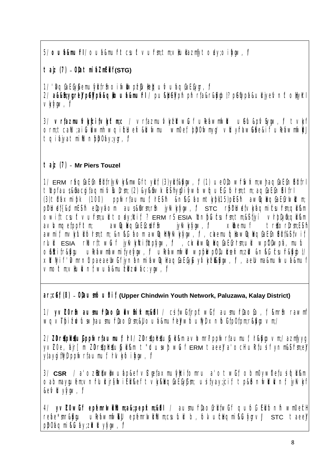5/ Outa&muirl/ Outa&muirlt csult vulrm; tm; vilullazmiyt ody; oi fyaw, V

 $\tau$  aiz (7) - O $\theta$ a  $\tau$ mi azm $E$ i f (STG)

1/ 'bgfaEfybemufylfrfin oifwllwpblvllebufvubgfaEfyr, Y

2/ a&&fn:vurlell pervota&allouta&muirl / pul&belvothpthrta&r&Mubt? pervota&ullivet Vytym, V

3/ vrtazmulvkycitvkytm;c / vrtazmulvkyzlitwut uletawmiwlu uletu&plvbyw, i/ tvky orm;tcallu;ai Lubwml wgituek&Luwmu wm0ef, bb0wmyu vityraw&be&if uleawmwW tqibiyatmillunbb0by;yir, l

# $\tau$ ajz (7) - Mr Piers Touzel

1/ ERM râqfaEfnEilfrlyk/k/kmwfftyif (3)yift&kw, # (1) ue0lowf\$vdxm;whaqfaEfnEilfrl tlepfaus&hacqifaqmiMulrm; (2) &y&hvkEshyqOifywowquEG form; tm; aqGaEGnElifrl (3) thaxmip (100) ppiwriaumui, hEsin & n& bomt wp(15) pEsin awlorla est with m priluet{&d mESh etpyhom aus&firm;rfn jyk/kyyav, l stc rpriluet/kyaqmitsufm;qil&m owittcultvulmul todylcit? ERM rs ESIA Iznbuculm tm&iliyi vhbiyingil &m awkaladiaEfcerfi ivKvkvivv, *V* xhemuf avivmaefooiritm: triorinEif awmif, mvk/julifolnm; tm; &n&G bom awkqlthyk/k/yyw, V, chemulokawkqlhofaEGnElif&Sfvif rlull ESIA rllurttwuf jylvkylcitleptyw, f , clvbwlobglaEGrrm;ull wp0lwpa, mulu ORICIT&RIU UPEAWIIAWIII (Velviw, V UPEAWIIMU WOORWOODULEEX m; ZU & nRG Csur&Rigbt/ xthivif 'Nmrni paeaelwif jynanmi awigi agfaEfyk yvkidkiyw, f, aelvma&mutvua&muf vmoltm:vllullvní wuh&mužil ziwhc:ym, f

ar;cet (8) - OlaumiouDit (Upper Chindwin Youth Network, Paluzawa, Kalay District)

1/ yvZ0rfn aumurlaofohvfnikm;&tl / csitwitirpftwit aumurlaofo, f, kmrfn rawmf wqvI bi zwuwhaumurlaofrm;&ll oua&murelywoullyl x nloli (p0fpm;rklyiovm;/

2/ ZDrtplttulppivriaumui, hl / ZDrtplttulgli &m avivmri ppivriaumui, h&iyovm;/ azmyyq yvZ0e, air [ m ZDrtphttublikm t"LuuswitwLuf ERM taeel a' och ultfusifynm&i fmel ytaygi thyl ppivrtaumut, Irlyko i iyov, V

3/ CSR / a' ozulzut wuwudap&ef vG' gefaxmulyttifomru a' otwif obm0yw0efusifoli&m oabmayquem;∨ntlull jrjiwiEll&ef tvkkhaGaEfytm; usifyay;jcif tp&bnMullvnf jykvM &etvitt vivow, V

4/ yvZ0wlif epemriwlillum;a&;pepixm;&irl / aumulrilaofrititwlif quiof Elitoni wm0ecH reae\*mr&Mu uleawmwkll epemrlwlllum;csulull b, folvuchaqmi&Luygrvl stc taeel pb0aqmi&Luay;zlvlttylygw, l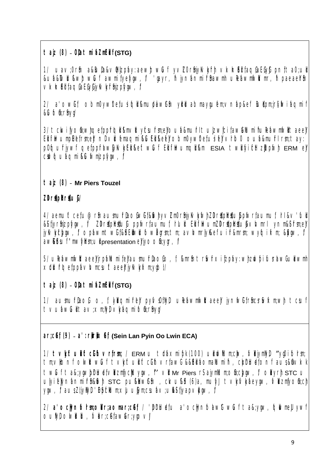$\tau$  aiz  $(8)$  - Ota  $\tau$  mi b  $2mE$ **i**  $f$  **(STG)** 

1/ uav;0rfi a&BuDa&vOr|zphy:aewJtwCuf yvZ0rfijyKvkyfrli vlxknEditaqGaEGyGtpnf;ta0;ul &ufa&DvlukwhtwLuf awmifyefygw, f 'gayr, h jynfanmifrShawmh uPefawmfwllVmr, h paeaeYSn vkhEi faqGaEGyGjyKvkyfrSnjzpfygw, f

2/ a'ow∫f obm0yw0efusifqli&mudawGh yltbabmaygufem;∨nfap&ef Bultpm;jr§itwifaqmif &Cufofirfnyg/

3/ tckvifyofi;wh qef ppfrique kn vity csuframe outa kan ufrituliz wici faw all unit hulle awamiwlitaee J EdititiwumpElefrm;eJtripD vluemaqmi kCLEd keeJ obm0yw0efusiteJy vlrIb0 outa&mufrI rsm;tay: pOfqufivwf qefppfawGykykElikeftwCuf ElifiHwumqlikm ESIA twitivitchtzEzpfwl ERM el cstwfqufaqmi&Cufwmjzpfynw, V

# **tajz (8) Mr Piers Touzel**

**ZDripHrituG/** 

4/ aemuftcefu@rfi ausmufrlaoGwGif&MyvZm0rfijyKvkywhZDrstphkttuppfwrfaumuf, lrI &v'full &Sitjyrfnjzpfygw, i/ ZDnstphtstul ppfwrfaumuf, hluti EtifitwumZDnstphtstuba√tvmrI ynm&Sifrsm;el jyKvkydkyw, p opfawmtwGi&B Elkwlufow@grsm;tm; avhvmrlyK&ef uifr&mrsm; wyfqifxm; &&ygw, p aw&Esuf "mwiyltm;ultpresentation el'jyoofi;ygr, f/

 $5/$  uRefawmfwdtaeeJ' jrpfallumifeJ' ausmufr $a$ ofo, f, l&mrfn trSwfrxifzpfay:wJh zdwfpifusrlawG udawmh  $\times$ t $\blacksquare$ t $\lozenge$ ef $\spadesuit$ pp $\spadesuit$ v $\blacksquare$ mcsuftaeeľriy $\spadesuit$ v $\spadesuit$ m;y $\spadesuit$ bl/

 $\tau$ aiz  $(8)$  - O $\theta$ a $\tau$ mi $\theta$ Zm**Edi** $\tau$  **(STG)** 

1/ ausnufritiaoG<sub>,</sub> o, f, lythe qmitrielig pyfysOfflyil unefawmfwlittaeelig jynfwGifffinesrSwfxm;whittiesuf tvuawCultav;xm;NyDvkyaqmifom;rhyq/

**ar;cGef; (9) a':rdk;rdk;xGef; (Sein Lan Pyin Oo Lwin ECA)**

1/ tvkftulift clift vrfrm; / ERM u traxmipk (100) ulkwhlum;clw, MbiymNyD "yq0ifolrsm; tm;vilonf olwittwCuf tvkytuliftcGiftvrfawG &&Eili homalLumint, cbDriUdefonf aus&Gmvlxk twLif ta&;ygwbhLuefvhzmfyclluygw, f' vll Mr Piers rS ajymlLum;ofin;clygw, f ohyrli STC u ulyitelynfanmifrom STC pukhawGr , ckvuko (6)a, muty tvkyvkaeyow, vhamyofich ygw,  $\widetilde{V}$  aus;ZliyKyD; 'EpickLum;xJuujym;csufav;ukSifiyapvkyav,  $\widetilde{V}$ 

2/ a' ochynfolrm;olar;aomar;cet; / 'lolrituet;u a' ochynfolawGtwCuf ta&;ygw, fqllwmell ywf outyl olwillub, MaricGfawar;ygovj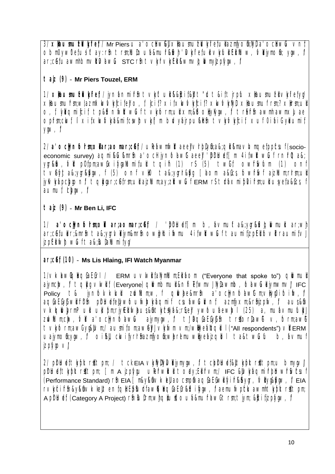3/ x lla u mu b l v l d i r l o chw l x la u mu b l d i d d i v chw l v n f obm0yw0efusiftay:rfn trm;lluloua&mufkliwh 'Myliefull vlylull Elilluw, Majymofn; yow, l ar:cetuawmhbmvll vawLu stc rh tvkrvkEl &wmvblwmylzphw, l

# $\tau$  ajz  $(9)$  - Mr Piers Touzel, ERM

1/ xllaumulzllvlyli et / jynanmiffin tvlyttuli k&bit&ll t"Lut&ittjrplu xllaumulzllvlyli etyv xllaumufm:wlazmkwvwcifelo, f, cif? xifxwvwcif? xwvwwivi xllaumuf rm? xllrm;ull o, f, lythomifcit tp&bnwttwuf tykorm;ut xm;&toliykyw, v treft awmh awmxlae optmickvi líxitxkvvkdamitcsvityklím byvairpuklti tykvkvicit xufoiai svlaumit  $V$ <sup> $\mathbb{W}$ ,  $\mathbb{V}$ </sup>

2/ a' oclynfoldin; ollar; aomar; cet / uleawmwlt aeel vlobyth; a&; qll &mavlvmqetpptsul (socioeconomic survey) agmi klukmrh a' ocl jynbawltaeel brutt [m 4itwit will rnrut al; yarkav, M p0fpm;awGxifyallumiful tqih (1) rS (5) twif owtwum (1) onf tveyta&yrkyw, f (5) onf vl0 ta&yrrky [aom a&cs, fowrsvf ajzllum;rrm;ul jyk/k/apckyon/ t qkyar;cetrm;ull ajzllum;ay;zitt wluf ERM rs traxmi bloi frm;ull usyeta&fcs, f aumul, clypv, V

### $\tau$  ajz  $(9)$  - Mr Ben Li, IFC

1/ a' oclynfolmi; oll ariaomaricet / 'birluet [m b, by muft a&ivirl&vlollwmull ariwl ar;cetubr;&mrn ta&;yqrlvbiym&mrn owlyloitwmu 4itwltwut taumitizpElitovl raumityl izpEll with will tak; kupalumi fyv

### ar;cet (10) - Ms Lis Hlaing, IFI Watch Myanmar

1/vkhwlohofaEfrl / ERM uvlwillfallymllum;Ellfaom ("Everyone that spoke to") ollwmull ajymchv, l t quy vwl t (Everyone) quymbmul &niñetwmvJ lylawmb, toawubjymwmvl IFC Policy t& jynfolylxlull zwillum;w, f allwheetmrn a octynfolawitm; villya0i foi liw, t aqfaEfyrwlirrin priutetellywoutwikkagmit csuawutknt azmyxmarshizpw, v aus&fi VXQIWVrmPull ull bm:rivElliwhus&itikicKyb&;risell ywfoutaewh/l (25) a, mutavmufullyl ztvillim;ctv, M a' oclynbawlu ajymygw, f tl hofaEfyth trtorlawl v, form;awl tvk/orm;awGyg&llvm;/aumitom;awellylvk/wm vm;/wlliyealizqibl ("All respondents") vil ERM uajymoth:ynv, v oiku, chvifyrhmazmfyoth:werlemuwwyetajzqibl ta&twLifu b, avmuf *izplyjovl* 

2/ piriluettwpktrittpm; / tck EIA vWWWWbjymygw, i/ tcpiriluet&lltwpktrittpm;u bmygvi pt Luet t wpkt rit t pm; [ m A jzplyu ulet wlut t ody; Elit vm;/ IFC & Lybagmit blowt wcsuf (Performance Standard) r§ EIA | m&y&@v\kellaocmp® aq&E&wlifyifr&&yqr, Nlyq&&yw, Y EIA rvyciffi &y&fivkeltental EpluffawbhaGaEGrkbiyw, laenutwpcluawmntwpktrittpm; A prillet (Category A Project) rm bull minulation distribution of the time of the internet with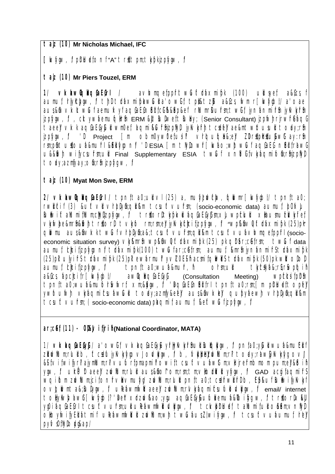#### **tajz (10) Mr Nicholas Michael, IFC**

**[**kwfygw,f/ pDrHudef;onf "A" trsdK;tpm;tkyfpk jzpfygw,f/

### **tajz (10) Mr Piers Touzel, ERM**

1/ vkbwlgbgGaEGrI / avhvmgefppfrItwLuftdraxmifpk (100) ullusyef a&Gcs, f aumuf, hykchyw, f tluthxmiphawCula'owGit tpl&tzLu a&Gcs, fwm r[kwydbt/a'oae] aus&Gm vixt wuf aemutxyf aqGaEGnEllicGifk&Bp&ef rhumrl&ufrm;twGif jynfanmifrSm jyKvkyfrSm jzpfygw, f, cktywfaemufqillr&n ERM &Jut BuDweft Bubly; (Senior Consultant) jzpfwlh rjrwfrGaqG taeeJv k aqGaEGyLuliwm0ef, laqmi &CufrSijzpfWlight whishing to ae&mtwdtusulitoday;rSmittag:<br>The total of the protect of mittage of the some when the some sport of the conservation of the some server of 'D Project [m obm0yw0efusif vlrIquiquesigle ZDritphtitubwGtay:rin rm;phtustouh&mufl&Elilyonf 'D Esia [m tNylowfr[kwho;wltwLuf aqGaEG; nEllifrawG u&&M wifvcsufrsm;ull Final Supplementary ESIA twLl xnfblityMaqmifoft;rfiizpfMl tody;azmfyay;ofi;rfi jzpfyq w, f

#### **tajz (10) Myat Mon Swe, ERM**

2/ vlxkawlqkaqGaEGrl / tpnfta0;ull vl (25) a, mufyLtwclw, fqlwmr[kwfygbl/tpnfta0; rwlicif (3) &uft $\vee$ ll  $\vee$ rbbyfigli $\&$ m tcsuft $\vee$ ufrsm; (socio-economic data) aumuf, bOfxLu ButWiftaNumifIlum;cIlyDjzpfygw, f trstorDtkyblvLubqGaEGyfrm;xLuwpfclull xHausmutzilvkyfief; vkytude&mrfi&MuhtroKord; tvkyto rm;rsm;eV jyKvkytchcifizptygw, f/ "wpf&fivOiftdraxmifok (25)pk" qilivmu aus&Grvixk twulfviripDyGra&;tcsuftvufrin;qili&m tcsuftvufavivinqefppfri (socio-<br>economic situation survey) vM&mr&n wp&Grvid ftthaxmibk (25) bk qiliar:cefrim: twulfdata economic situation survey) vky&mr\$m wp&fnv0fttraxmipk (25) pk qr\$ar;c@frm; aumuf, chcifizpfygon/ thraxmipk (100) twLifar;cGefrm; aumuf, kmrsh jynfanmifrS thraxmipk (25)pk ulyiffs thaxmipk (25)pk? ewfarmuf yvZ0ESifi acsmit;qkwths thaxmipk (50)pk wttoDob;<br>aumuf, bicitizplyw, floot that a0;wula&mufr, film oldsmi;ukkitothak;rS;rSypliqifi; aumuf, bicifizpfygw, f tpnfta0;wufa&mufr, h olrm;ull thybstyfa&;rS;rSwpfqifi<br>a&Gcs, fapcicifr[kwfyqbt/ awlight=GistGyli (Consultation Meeting) wpbbsifplrfin a&Gcs, bipc consultation awguquation  $\alpha$  and  $\alpha$  and  $\alpha$  (Consultation Meeting) tpnfta0;wufa&mufolrSwfwrf xm;&&ytw, p 'leqGaEGnElitri tpnfta0;rm;[m plrlueftopfel ywfoufwlh vkyfaqmitsufawCull today;azmfy&efel aus;&findxell qufpyfaewl vlripDyfi;qlli&m tcsuftvufm; ( socio-economic data) phomit aumut, keft wLuf izplynv, f

**ar;cGef; (11) - OD;&Jvif;jrifh (National Coordinator, MATA)**

1/ vkaqfaEfyl/ a'owlf vkaqfaEfy&yrfyKvkyfrfiuld Bulqlkyw, l pnfa0;yLull wufa&muEll f zkwilum;riulib,ftcsdujykvkygovJ odvkyw,  $\widetilde{V}$  b, wkbbkwilum;ri? today;rawjykvkyg ov $\widetilde{V}$ &Sivitwifyrlajymlum;rlvufurfpmapmilowittcsuftvufawGtm;vlirefrmbmom pum;el&bih ygw, f uriPtaeel zwlum;rlui aus&fiol^om;rm;tm;vlotWttyygw,f GAD acgifaqmifs wqifom zwilum;jcifonfrvhvmufyl/ zwilum;rluftpnfta0;tcsdfrwifflb, ES&uf BulkvifyKvkf ovglwmta&;BuDygw, f uRefawmiwittaeeJ zwilum;rIvkyfaqmitcsufulbolvlkyw, f email/ internet tohykwMawf [ kwybl? ' be'txtzwkao;ygu aqfaEiykufubemufa&Ibi iyg w, f/ trtorDxkJU ygoi hafa EGri tcsuftvurm;ullu leawmwbwyw,f<sup>7</sup> tck/brluef; talumifullo&em;vnfW  $\sim$ HoywifyEliatmif uRefawmfwllull zdwillum;whitwCulaus;Zl;wifygw,fltcsuftvufaumuf,IrleJY pyfv90fM<sub>D</sub>owa&ap/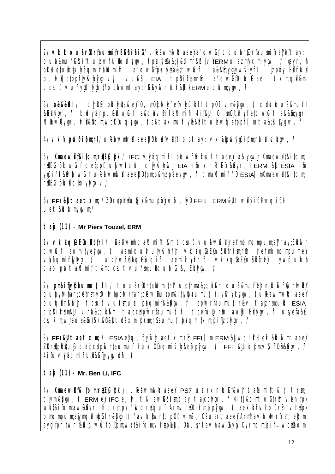2/ vktouarfortaumitrEsibiaif/uleawmiwitaeela'owittouarfortaumitrel#ttay: OUB&murkkcittulzwrlulolvlyw, l plulyta&{&d mr&bl√lerMu azmyxm; yw, l 'qayr, h prilutetwictlykagmifrailumin a' owitpluytta&; twill izpay: Eli rlull a&&fn:yq:jywfvyfrl  $b, N$ ge(ppflyk/wygo $V$ / vu $\&$ **EIA** tp&itbmrm a' owl foi hilft ae txm; all &m t csuft vury@i kybl? opawmt ay: rbkykvnfor&f kERM uqlkm;yw, l

3/ a&&&li / tlini pluyta&el 0, molckwie etviguliri tportvm&lyqw, l xtluoua&muri &Elityaw, the buy birpulation of a and the fall mint 4 it all 0, moth white two the a a almy yarle ILIAW&yw, M&nom;wpDluqWw, la&taxmufty&&Htulzwgetppfl[mta&bJlyqw, l

4/ vkhptv0ipm;rl/ uleawmivtt aeephluetvitt optay: vkklbtvivq0ipm;rlubtvivqv, t

5/ Xmaewlit&itom;riffection: IFC viviagmint plowinfwicsult taeelta&yown Xmaewlit&itom; rife pkt wulf getppft ujzwirlull, cifyk kyiwli EIA rin xnibiitrikibyr, i ERM & ESIA rin yq0ifric&wltwufuleton websyming are the certification of the certification of the certification when the certification. riteG bluitotoviviovi

 $6/$  FFI & taet  $\times$ m; / ZDrtortugi & muo eywo und FFI u ERM & twi yi ci wqiti uetx&lutvmyqvm;/

#### t aiz (11) - Mr Piers Touzel, ERM

1/ vkhqfaEfnEllfrl / 'hehwmhtallumift&mtcsuftvuhwCulljrefmbmompum;ellray;Ellfwh twuf awmityelyw, V aemitqutvufyllvlyinh vixlaqfaEfinElltfrirm;rfn jrefrmbmompum;ell vWaqmifrlyKyr, V a':jrwfeaqffwqin aemiMwrnn vkaqfaEfnEilfrey **vwfoulwll** taoptvftalLumitt&mtcsuftvurmulgubf &, Elivev, Y

2/ pm&itjykbbumuf, hl / toubrf0rtallumitrl usetrma&; qli &m oub&mufrlel nhTwffWrWbl qupyiwiar;cetrm;ygoiiwhppiwrtar;cetvinullpm&itjylplaumut, htjylvkylclygw, l uleawmiwllt aeel outoil fr&ilvin t csuft vurn;uil plagmit&&yov, v ppivrtaumui, rkv'tt aizrm;uil ESIA tphilethm&ll vlra&cllikm taicebpiwriaumui, h teetu@rh awfriElilynw, f usveta&G cs, km; whaus&fi (5) &fi&ll traxmiprm; rSaumuf, blaqmitxm; citizplyow, l

3/ FFI & U taet xm; / ESIA el qupy whtaet xm; r fi FFI [ m ERM & U wqi blue tx & Lu kwm taeel ZDrtplttul tajccbpivriaumui, riul Obaqmitvkkeizpiyw, i FFI &llul pm; s i rh&lyw, i 4ituvkaamirulesitivvvtr.

#### $\tau$  ajz (11) - Mr. Ben Li, IFC

4/ Xmaewlit&itom;rtEG bk / uleawmiwltaeel PS7 ul rxnbolt&wh tallumitt&it trm; tiym;&Qqw, V ERM el IFC e, y, It& awQQfrm; tay: tajccNqw, V 4if{&d mtwOifrm ventpk wiit&itom;aw&tyr, h trm;plu kwi riqut Armvritoifm;jzpyjw, l aexitrvrloorn vritpk bmompum;ajymqibliphi r&Mibi/ "avixilwritp0ftvm?, 08usritaeel Arml'avixilwrirm; ebm aygi fpnfwnkwit wu folicmwi f&i fom vripki , oausn'avrawky wormtmizi h-wollom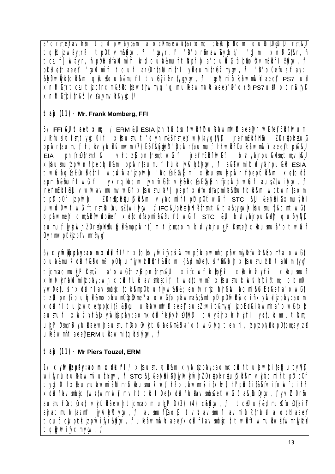a'ormel'avhi toltizway;&m a'ockmaewli&iiom; cklublom oulul00ul rm;&ll talltizwayrl tportvm&lynv, l  $a$  avr $b$ ,  $b$ 'b' orfiraw&yibl/ 'i[m  $x$ nbi $8r$ , h t csuir [ wayr, h piriluetallumin ' lwd oua&muritized ba' ouiv G tubinon: vmEll irl 1/20/0w, l' prilute taeel 'qalumin touf artorfalumitri yiribumitret myon, i' 'b'ooefusittay: &WOvvÄvilfali&m alutoua&muh tvevientytyw, l 'alumifuleawmwitaeel PS7 ul xnbitrit csuftizpirxm;&bidizwchwmyq/'q[m uleawmiwitaee]'b'orfi PS7 ultottriviyl xnbilicitr&blvlaymvr&yol/

### $\tau$  aiz (11) - Mr. Frank Momberg, FFI

5/ FFI &II taet xm; / ERM &II ESIA jzniblutsufwil fil ulefawmiwitaeelyniwi fel Eli filwum ultiusiform;tyqt0if xhaumuft"dynm&ifm;eltwylayqifllyp jrefnEldihth ZDrithtiuG ppfvrfaumuf, FluitvMuitMmvm (7) Ept &tytyl 'ppfvrfaumuf, Frvit Fluiteawmfvitt aeel t pil&&ll vrlt zijt pnfrm; twiuf irefmeilini iwi f  $b$ d $\vee$ yairpu $\&$ irm; $t$ m; $\vee$ i $\&$ il **EIA** xllaumulzplwnfrbeploll km pplwrfaumul, Irlull jylk/kychyw, l a&bwmi lowyairpukll ESIA twuaqiaEinElifri wplwwa'izpiwli 'aqiaEiyifim xilaumuizpiwnirbepiqilikm xetorti yxrqllaom jyniwiitviy&hqiaEiyMnijzpiwltwui ausZlwiiyw, l apmi h&hurlt wuf jrefrmEll fi I&II vwwavmumvwlif xllaumub\* [pepf xetortapmi h&hufdl &m wpclwntaom ZDr#plr#uloli&m vlyaqmift plt p0ft wulf stc &ll &elybi&xmulylrl t pDt pOf izpiwh uwLOwftwLitrm;BulausZlwifyw, liFC&lpbtephetrm;t&ta&;ygwb<laumuf{&d mtwlit ophwmel om;&lltw&pinet xetortapmine&fiuritwut stc &ll buyhirpu&ell qupyllyll aumuf, lykokvi ZDrtipirtiungi &mppfwrf [m tjcm;aom bdvyajrulgPirm;el xilaumua'otwluf Oyrmwpickizpi vmrhyw

6/ xylwlizplay: aom x cluirl / t x lolloylwi lycsi lwmwplcuawmh oplawmjyletwlrkhom? a' owlit Oub&mulxtLulrkhom? p0kgulriywtlktrk&hom {&d m0etusilrh&lvh xllaumulzil tallumityq/ ticm;aomult:Plrm;? a' owlit zit pnimi;&ll xitxiwi, loliph? xilxiwi/wh? xlaumuf xwww.htallumitzpay:wh xulluflull avmbicit twlittwm? xllaumukwww.hicittm: obm0 ywDefusif xdurf avmcicital kmp0gurjywkh&; entvrtizih irshvi agmi kuEll kefa'owit tzitpn! oubli & mophwmOlplXme? a' owi tophwma&& ntpltp0iwir woli xyiwi izphy: aom x turn tuizwige ppici !? & you uleawmi wit aeel aus Z wip&my jzpEi & i awmh a owl txl aumuf xwvwrkikixywijzpay:aomxclurebyvoflyl bwyajrxwvwrh yilfulbmrutlcm; ur Prm;rSvk/ull aewl aumurlaoivk/uluae&m&l a' otwluky tenfi, fzpfzplylrll p0fpm;ay;zll  $U$ leawmnt aeel ERM  $U$ lawmit dusity (w.

### t aiz (11) - Mr Piers Touzel, ERM

1/ xylvdjzpay:aom xtlurl / xtlaumutqt &m xylvdjzpay:aomxtlurlt ujzwici felqubyllyt wifyrlull ulefawmfvulchynv, f stc &ll &efyllai et jykviytivih ZDrittpli rittuliait km viktagmi int pitt pot tvit0if xHaumuhwmihlumr&Haumukwi h'ophwmr&itxwi h'plutit&flvitowioih' x dura vmbici i wii i wmrwli m vrit oluft 0ei x duri ula vmbiseft wult as julyow, f yv Z 0rm aumurlaofritt viyluli bewl tjcm;aom ur, PI (3) (4) cktyw, l tcill u{&d mu0tu0tjzil ajratmuiwtazmrl jykykluyw, i aumuriaoi tyttavmui avmijultirlull a ochtaeel t cuft clwpckt jzpiwi jyrkkyw, i uleawmiwit aeel x duri avmcici t wii t wmuli wii twmrlyki tawwijyxmyw, Y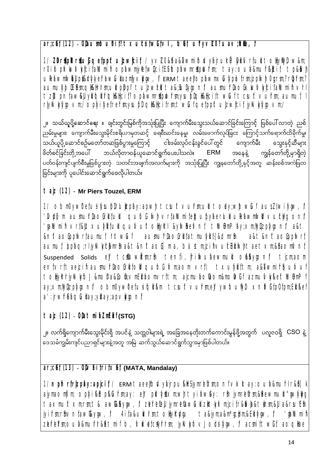$ar$ ;cet (12) - OtaumiouDit?  $t \times$ ucsitwityli, tuet, ulyv $\angle$ O? uav;Intle, l

1/ ZDripl ritul getppft uizwicit / yvZ0&i a&awmitolvyajrulriPlylitvrtull tollyllyl w&m; r0ifopb<kwvkyfcifallumin opfawmjylefwiljcifESifopfawmrttptwrm; tay:oufa&murkkcif tp&kwh uleavmivill platyyerawulazmyviyw, i ERM taeelopavmxulypintrm;jzpivil Oq.rm;? riprm;? aumuiybiEirm;qikiirrm;uilpippi tulzwal ta&;lulyqoni/aumuirlao6xkwvkcijaluminvrl tzltpnfaw&ll yllfollfrlok&licif? ophwmrttplwfm;ysupholk&liciftwluftcsuftvufm; aumuf, I rlyk/kyyovm/oplyilyetrefmysublokklicitm;twLiqetppftulzwicitiyk/kyyovm/

၂။ သယ်ယူပို့ဆောင်<mark>ရေး ။</mark> ချင်းတွင်းမြစ်ကိုအသုံးပြုပြီး ကျောက်မီးသွေးသယ်ဆောင်ခြင်းကြောင့် ဖြစ်ပေါ်လာတဲ့ ညစ် ညမ်းမှုများ၊ ကျောက်မီးသွေးမိုင်းဧရိယာမှတဆင့် ရေစီးဆင်းနေမှု၊ လမ်းဖောက်လုပ်ခြငး ကြောင့်သက်ရောက်ထိခိုက်မှု၊ သွေးနှင့်ဆီများ ဖိတ်စင်ခြင်းတို့အပေါ် ဘယ်လိုတာဝန်ယူဆောင်ရွက်ပေးပါသလဲ။ ERM အနေနဲ့ ကျွန်တော်တို့မှာရှိတဲ့ ု<br>ပတ်ဝန်းကျင်ပျက်စီးမှုဖြစ်ပွားတဲ့ သတင်းအချက်အလက်များကို အသုံးပြုပြီး ကျွနတော်တို့နှင့်အတူ ဆန်းစစ်အကဲဖြတ ခြင်းများကို ပူပေါင်းဆောင်ရွက်စေလိုပါတယ်။

# taiz (12) - Mr Piers Touzel, ERM

1/ obm0yw0efusifysubirlultzpay:apwl tcsuftvulrm;ull tody;wltwut ausZlwifyw, l 'lupi[ m aumurlaofrlituli qubf Mivrtallumitebupyaerluli uleawniwli vublyg onl ' gallumi h vrí&lltxuíyil í ull quívuítoliyki &yiwikeivní tluiDmPay;xm;llyijzpíygoní a&t &nftaoGppfvrfaumuf, httwuf aumuhlaoGrlifatmufylif{&d mrh a&t&nftao\$ppwrf aumuf, bpha;rljyk/k/ckmrh a&t&nftaoG[ma, bk stm;jzihvulclElikvhtaetxm;&laomvnf Suspended Solids el todowlinm; rin tenfi, fri invulae winuli ol kyoni tiom; aom entvrttaeizin aumurhaofrittoil qubli kmaom vrt\ txulyittm; a&awmirqulvut toliykriyk/yibl &molra&Gofi;vmEli aomvrttm; ajcmuaolaom&molwif azmuMy&eftILuDmPf ay;xm;llytjzpfygonl/ obm0yw0efusifqll &m tcsuftvulm;ell ywfoullytl xnlbiifp0fpm;Ell &ef a' :jrwfrêtaqûliay;yil ay;apvilyoni/

 $\tau$  aiz (12) - O $\theta$ a $\tau$ mi azm $E$ i f (STG)

္၂။ လက်ရှိကျောက်မီးသွေးမိုင်းရှိ အပင်နဲ့ သတ္တဝါများရဲ့ အခြေအနေတိုးတက်ကောင်းမွန်ဖို့အတွက် ပလူဇဝရှိ CSO နဲ့ -<br>ဒေသခံကျွမ်းကျင်ပညာရှင်များနဲ့အတူ အမြဲ ဆက်သွယ်ဆောင်ရွက်သွားမှာဖြစ်ပါတယ်။

# $ar:$ cet (13) - Olvfitritxet (MATA, Mandalav)

1/ npfnrfrlzpay: apjcif/ ERM taeelbwyairpu&ltSjymreflrm;onfvktay: oub&mutrl r&l [k] ajymaomjim; opiyi&bp&Cufm;ay: el pluiystxm;wh tyiaway: rin jymrlellrm;&hewmull "gwiyllyg taxmultxm;rm;t& awk&yqw, / zerelell jymrelawul zitiykm;jcifr&wb&tirm;&l a&rsuEn jyifm;rfnvnfawkytw, f 4ifa&ulvrm;toliyrdyu ta&jym;a&m\*qclpm;&Ellifytw, f 'daNumih zerbrin; oub&murr&htmifb, MketcKyrrm; jyKybvJotsifyw, lacmittwitaoglae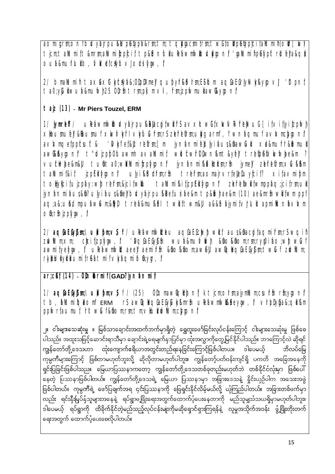aomi grm;onf bwyajrpu&h pelypa&rm;tm;tqlyqacmi trm;twlitoll pelypici tallumi h(olr [ w) ticm;tallumi {t&mrm;allumi | |zp[ci { tp&||on||u|| ule{awmfw||olv||k||on|| 'qallumi fip@fyp|tr||u||e|| a&q|| ouh&murlullo, Mketckytovlotsitym, l

2/ bmallumint tax&xtbxbbbxhel qubyrkbhm;Esibm aqfaEfrlykvkkyqovl 'Itpnf ta0;ylullwufa&mufwl25 Olrfi trm;plf m vi , frm;jzpfwmullawl&yqonf

# taiz (13) - Mr Piers Touzel, ERM

1/ jymrleii / uleawmiwillowyajrpu&klacgitwiifs avxltwiitxkwwimelwui [itvitjyitzpiwin xlaumuel &laumuf xlwvk/rl vlylulurm;rs zeretrm;ully arm , f wnaqmuf avlvmclygonl avivmgetppicsuft& 'Myliet&Utretirm; [ m jynanmi eLlyi aus&fiawCull xa&murr&Mwmull awt&&yqont t"Lizpb0fuawmh avalLumif wllutwh0fwn&mt&yel tretpetxkwwhe&m? Vubwhe&m&ll tufita0;whllumifzpwonl jynanmi&k#zhm;rfi jymell zefreirm;xCu&&m ulyikttrm;rti trefm;aomairvrfeletuyicif?  $\times$ ifa $\times$ mifom taMumit&it izp**Eli** Monl toliylici fujzpay: wit refm;&jci fwllu tallumi &i fizpEli iyoni zefrelwli fwmppag;jci frm;ull jynanmiaus&m? ulyiaus&mell bwyajrpu&Detusiae&m tp&Mwlae&m (10) ae&mrh wlltwm ppf aq;a&;u&d mpubw&m;&&d trea&mu&h twlftwm&l a&&fibiymifvhul apmiNunbvMm ofirfi izpiyov, l

2/ aqfaEfyfm:\ull fom:\s f/ ulefawmiwldeu aqfaEfclwltwllf aus&fracqifaqmifrm:rswqifi zdvM ⊥m:×m: chci fizpiyov, i 'aqfaEfyirin wuh&muivilyin &fiokhom;rm;ryq0i ho;wit wiuf awmityelytw, p uleawmwttaeel aemifft &toktom;awell awlgtadaEfytm;twuf zwlum; rlyblulyrbumifreatmifvlyagmifomygr, f

# ar;cet (14) - Olintarmif (GAD? jynanmit)

tb, hallumitathomi ERM in awlathafaEfylvty&mrh uletawmwt&teyw, f vhblytja&jati&m ppivriaumui, htt wui & hom; rm; tm; viluitivium; civioni

၂။ ငါးများသေဆုံးမှု ။ မြစ်သာချောင်းအထက်ဘက်မှာရှိတဲ့ ရွှေတူးဖော်ခြင်းလုပ်ငန်းကြောင့် ငါးများသေဆုံးမှု ဖြစ်စေ ပါသည်။ အထူးသဖြင့်ဆောင်းရာသီမှာ ချောင်းရဲ့ရေမျက်နှာပြင်မှာ ထုံးအလွှာကိုတွေ့မြင်နိုင်ပါသည်။ ဘာကြောင့်လဲ ဆိုရင် ကျွန်တော်တို့ ဒေသဟာ ထုံးကျောက်ဧရိယာအတွင်းတည်ရနေခြင်းကြောင့်ဖြစ်ပါတယ။ ဒါပေမယ် ဘိလပ်မြေ ကုမ္ပဏီများကြောင့် ဖြစ်တာမဟုတ်ဘူးလို့ ဆိုလိုတာမဟုတ်ပါဘူး။ ကျွန်တော့်ပတ်ဝန်းကျင်ရှိ ပကတိ အခြေအနေကို ရှင်းပြခြင်းဖြစ်ပါသည။ မြေယာပြဿနာကတော့ ကျွန်တော်တို့ဒေသတစ်ခုတည်းမဟုတ်ဘဲ တစ်နိုင်ငံလုံးမှာ ဖြစ်ပေါ် နေတဲ့ ပြဿနာဖြစ်ပါတယ်။ ကျွန်တော်တို့ဒေသရဲ့ မြေယာ ပြဿနာမှာ အခြားဒေသနဲ့ နိူင်းယှဉ်ပါက အသေးအဖွဲ ဖြစ်ပါတယ်။ ကုမ္ပဏီရဲ့ ဖော်ပြချက်အရ ၄င်းပြဿနာကို ဖြေရှင်းနိုင်လိမ့်မယ်လို့ ယုံကြည်ပါတယ်။ အခြားတစ်ဖက်မှာ ဒါပေမယ့် ရပ်ရွာကို ထိခိုက်နိုင်တဲ့မည်သည့်လုပ်ငန်းမျးကိုမဆိုရောင်ရှားကြရန်နဲ့ လူမှုအသိုက်အဝန်း ဖွံ့ဖြိုးတိုးတက် ရေးအတွက် ထောက်ပံ့ပေးစေလိုပါတယ်။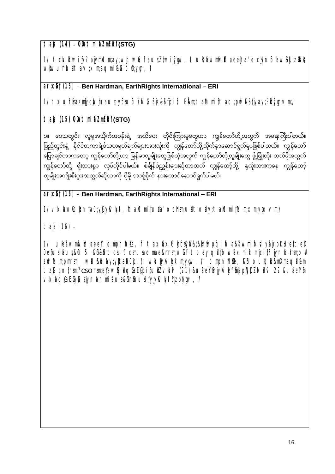**tajz (14) OD;atmifaZmfEdkif (STG)**

1/ tck/d wify? ajymllum;ay;whtwLuf aus;Zl;wifygw, f/ uRefawmfwltaeeJa'ocHynfolaw&JU zOEMs www.ufrluit tav;xm;aqmi kufofn;ygr,f/

### **ar;cGef; (15) Ben Hardman, EarthRights Internatiional – ERI**

 $1/\text{t} \times$ uffinazmfyclwol rauseyfcsufull fwG fajz&Sificif; E.k.m;tallumifitao;pdwf&Sifjyay;Ellifygrvm;/

 $\tau$  ajz (15) O $\theta$ a $\tau$ mi $\theta$ ZmE**i (STG)** 

၁။ ဒေသတွင်း လူမှုအသိုက်အဝန်းရဲ့ အသိပေး တိုင်းကြားမှုတွေဟာ ကျွန်တော်တို့အတွက် အရေးကြီးပါတယ်။ ပြည်တွင်းနဲ့ နိုင်ငံတကာရဲ့စံသတမှတ်ချက်များအားလုံးကို ကျွန်တော်တို့လိုက်နာဆောင်ရွက်မှာဖြစ်ပါတယ်။ ကျွန်တော် ိော တိုက်<br>ပြောချင်တာကတော့ ကျွန်တော်တို့ဟာ မြန်မာလူမျိုးတွေဖြစ်တဲ့အတွက် ကျွန်တော်တို့လူမျိုးတွေ ဖွံ့ဖြိုးတိုး တက်ဖိုအတွက် ု့ သို့ သည်။<br>ကျွန်တော်တို့ ရိုးသားစွာ လုပ်ကိုင်ပါမယ်။ စံချိန်စံညွှန်းများဆိုတာထက် ကျွန်တော့်တို့ နှလုံးသားကနေ ကျွန်တော့် .<br>လူမျိုးအကျိုးစီးပွားအတွက်ဆိုတာကို ပိုမို အာရှီစိုက် နားထောင်ဆောင်ရွက်ပါမယ်။

### **ar;cGef; (16) Ben Hardman, EarthRights International – ERI**

 $1/\sqrt{\kappa}$ kw $\log$ bnfa0;yGjyKvkyfr,fitaMumifulia'ocHrsm;ulitoday;taMumifMum;xm;ygovm;/

tajz (16)

1/ uPeawmiwitaeel ompnifile, f taxGaxGtivciwa&;&IrSwpfqifia&TawmifbdvyfairpDrlutefteD; 0efusifaus;&Gm 5 &Gh&B tcsuftcmusaomae&mrm;wGit today;qUtbkwfaxmifxm;jcif? jynfolrsm;oU zdwilum;pmrsm; wilukiluay;yizefa0jcif; wilutykvkytxm;ygw,f ompnitile,ki oufqil&mXmeqil&m tzltpnf;rm;? cso rm;el/awlqlaqfaEficif;ulizMillv (21) &ufaelthifyKvk/rfnizpflyDzMillv 22 &ufaelthi vkaqGaEGyLuliynanmi aus&Gr& usi fyjykvkyfrSnizpfygw, f